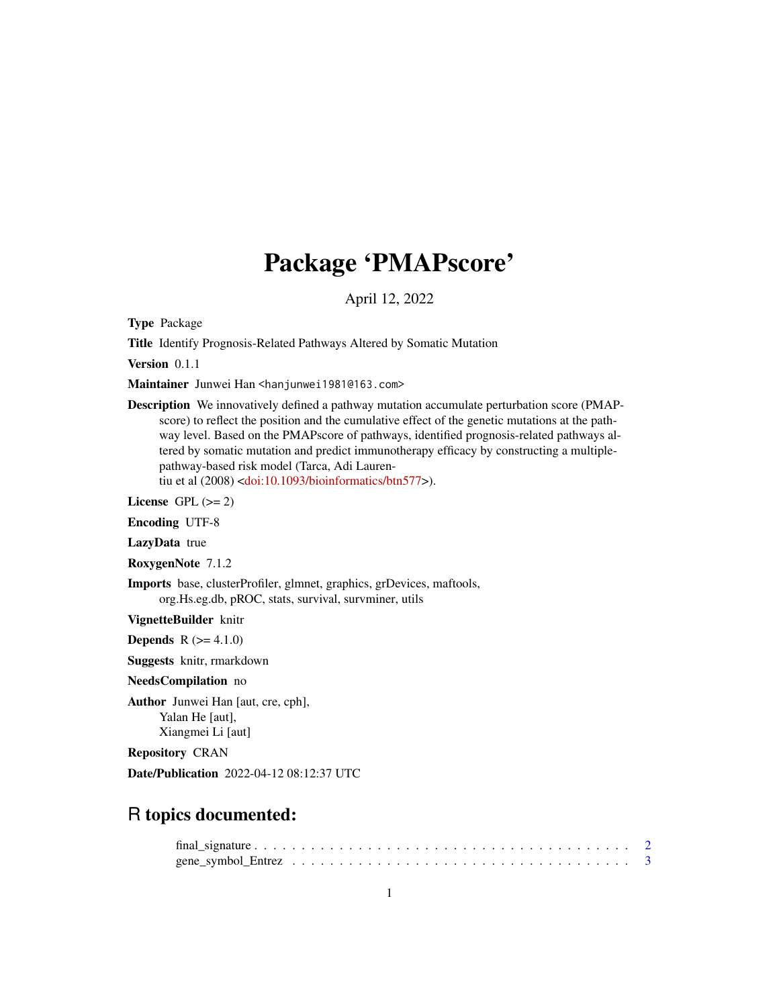# Package 'PMAPscore'

April 12, 2022

Type Package

Title Identify Prognosis-Related Pathways Altered by Somatic Mutation

Version 0.1.1

Maintainer Junwei Han <hanjunwei1981@163.com>

Description We innovatively defined a pathway mutation accumulate perturbation score (PMAPscore) to reflect the position and the cumulative effect of the genetic mutations at the pathway level. Based on the PMAPscore of pathways, identified prognosis-related pathways altered by somatic mutation and predict immunotherapy efficacy by constructing a multiplepathway-based risk model (Tarca, Adi Laurentiu et al (2008) [<doi:10.1093/bioinformatics/btn577>](https://doi.org/10.1093/bioinformatics/btn577)).

License GPL  $(>= 2)$ 

Encoding UTF-8

LazyData true

RoxygenNote 7.1.2

Imports base, clusterProfiler, glmnet, graphics, grDevices, maftools, org.Hs.eg.db, pROC, stats, survival, survminer, utils

VignetteBuilder knitr

**Depends**  $R (= 4.1.0)$ 

Suggests knitr, rmarkdown

#### NeedsCompilation no

Author Junwei Han [aut, cre, cph], Yalan He [aut], Xiangmei Li [aut]

Repository CRAN

Date/Publication 2022-04-12 08:12:37 UTC

# R topics documented: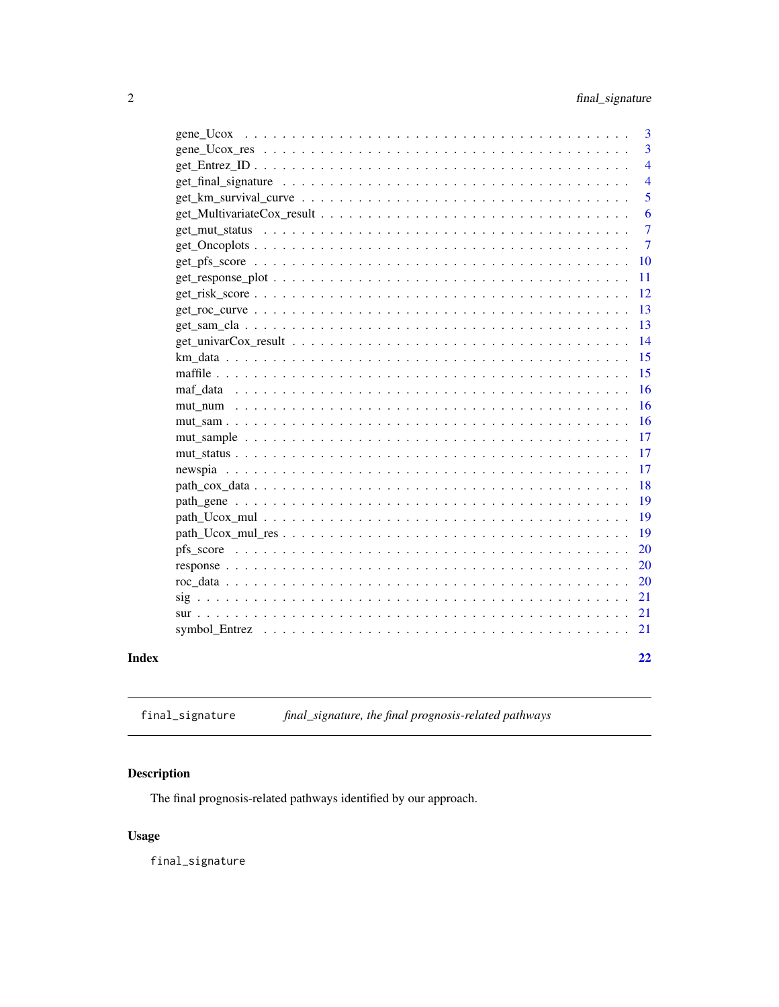<span id="page-1-0"></span>

| $\overline{3}$                                                                                                   |
|------------------------------------------------------------------------------------------------------------------|
|                                                                                                                  |
| 3                                                                                                                |
| $\overline{4}$                                                                                                   |
| $\overline{4}$                                                                                                   |
| 5                                                                                                                |
| 6                                                                                                                |
| 7                                                                                                                |
| $\overline{7}$                                                                                                   |
| 10                                                                                                               |
| 11<br>$get\_response\_plot \dots \dots \dots \dots \dots \dots \dots \dots \dots \dots \dots \dots \dots \dots$  |
| 12                                                                                                               |
| 13                                                                                                               |
| 13                                                                                                               |
| 14<br>get univarCox result $\ldots \ldots \ldots \ldots \ldots \ldots \ldots \ldots \ldots \ldots \ldots \ldots$ |
| 15                                                                                                               |
| 15                                                                                                               |
| 16                                                                                                               |
| 16                                                                                                               |
| 16                                                                                                               |
| 17                                                                                                               |
| 17                                                                                                               |
| 17                                                                                                               |
| 18                                                                                                               |
| 19                                                                                                               |
| 19                                                                                                               |
| 19                                                                                                               |
| 20                                                                                                               |
| 20                                                                                                               |
| 20                                                                                                               |
| 21                                                                                                               |
| 21                                                                                                               |
| 21                                                                                                               |
|                                                                                                                  |
| 22                                                                                                               |

# **Index**

final\_signature, the final prognosis-related pathways final\_signature

# Description

The final prognosis-related pathways identified by our approach.

# **Usage**

final\_signature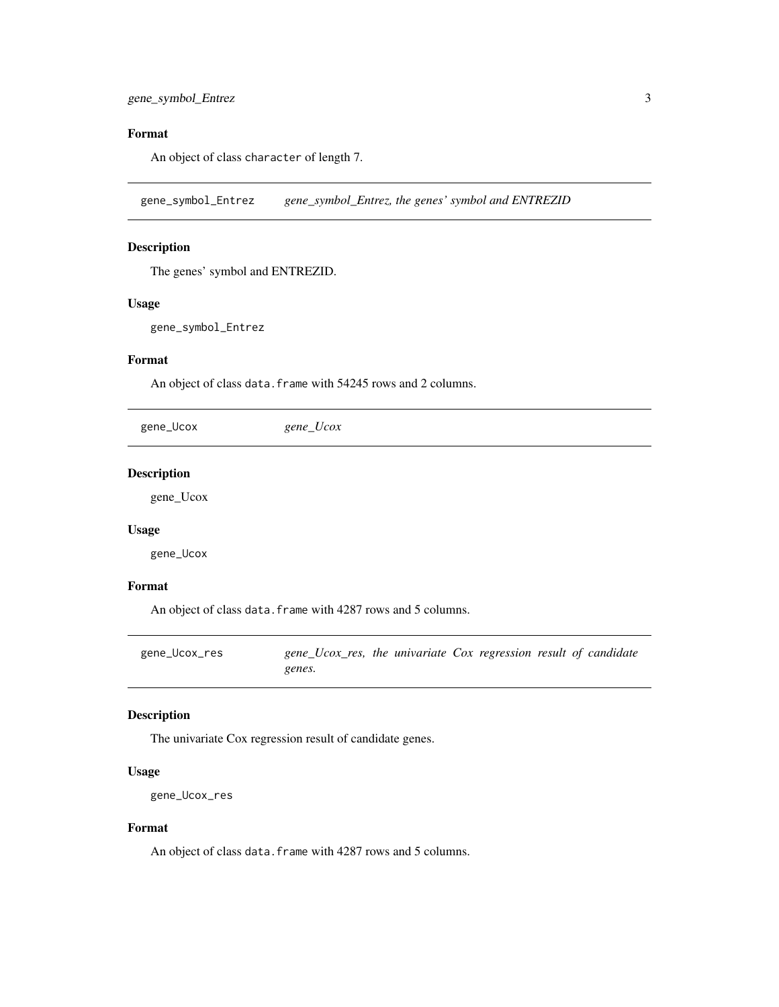# <span id="page-2-0"></span>Format

An object of class character of length 7.

gene\_symbol\_Entrez *gene\_symbol\_Entrez, the genes' symbol and ENTREZID*

#### Description

The genes' symbol and ENTREZID.

#### Usage

gene\_symbol\_Entrez

#### Format

An object of class data. frame with 54245 rows and 2 columns.

gene\_Ucox *gene\_Ucox*

#### Description

gene\_Ucox

#### Usage

gene\_Ucox

#### Format

An object of class data. frame with 4287 rows and 5 columns.

gene\_Ucox\_res *gene\_Ucox\_res, the univariate Cox regression result of candidate genes.*

#### Description

The univariate Cox regression result of candidate genes.

#### Usage

```
gene_Ucox_res
```
#### Format

An object of class data. frame with 4287 rows and 5 columns.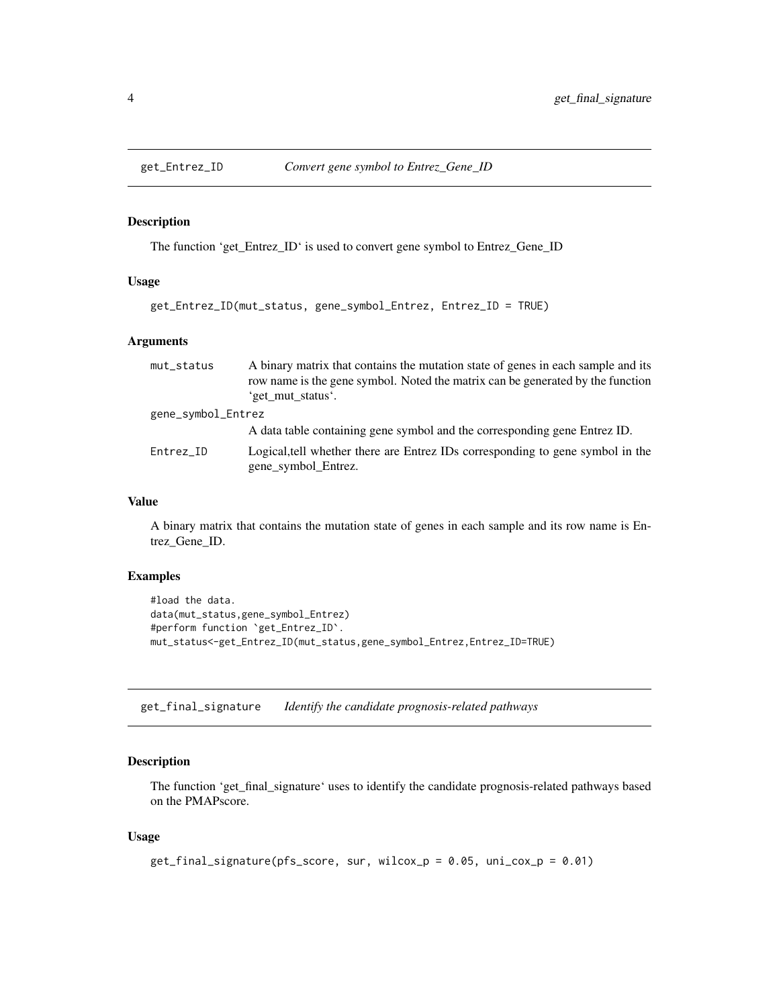<span id="page-3-0"></span>

The function 'get\_Entrez\_ID' is used to convert gene symbol to Entrez\_Gene\_ID

#### Usage

```
get_Entrez_ID(mut_status, gene_symbol_Entrez, Entrez_ID = TRUE)
```
#### Arguments

| mut_status         | A binary matrix that contains the mutation state of genes in each sample and its<br>row name is the gene symbol. Noted the matrix can be generated by the function<br>'get_mut_status'. |
|--------------------|-----------------------------------------------------------------------------------------------------------------------------------------------------------------------------------------|
| gene_symbol_Entrez |                                                                                                                                                                                         |
|                    | A data table containing gene symbol and the corresponding gene Entrez ID.                                                                                                               |
| Entrez_ID          | Logical, tell whether there are Entrez IDs corresponding to gene symbol in the<br>gene_symbol_Entrez.                                                                                   |

### Value

A binary matrix that contains the mutation state of genes in each sample and its row name is Entrez\_Gene\_ID.

#### Examples

```
#load the data.
data(mut_status,gene_symbol_Entrez)
#perform function `get_Entrez_ID`.
mut_status<-get_Entrez_ID(mut_status,gene_symbol_Entrez,Entrez_ID=TRUE)
```
get\_final\_signature *Identify the candidate prognosis-related pathways*

## Description

The function 'get\_final\_signature' uses to identify the candidate prognosis-related pathways based on the PMAPscore.

#### Usage

```
get_final_signature(pfs_score, sur, wilcox_p = 0.05, uni_cox_p = 0.01)
```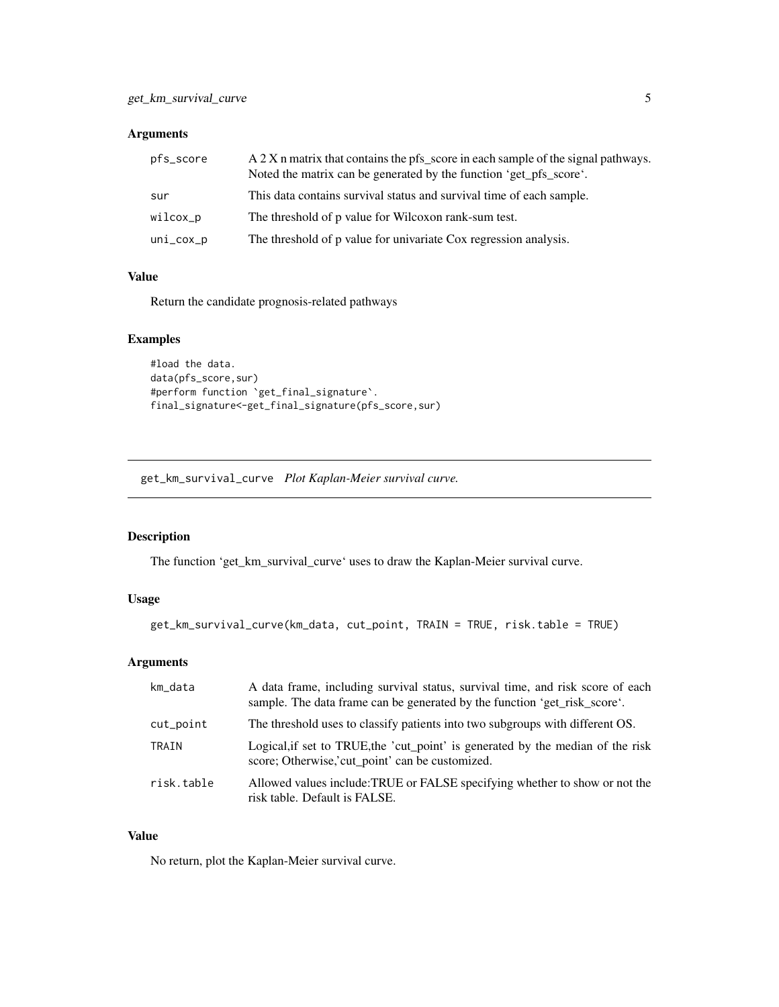### <span id="page-4-0"></span>Arguments

| pfs_score    | A 2 X n matrix that contains the pfs score in each sample of the signal pathways.<br>Noted the matrix can be generated by the function 'get_pfs_score'. |
|--------------|---------------------------------------------------------------------------------------------------------------------------------------------------------|
| sur          | This data contains survival status and survival time of each sample.                                                                                    |
| wilcox_p     | The threshold of p value for Wilcoxon rank-sum test.                                                                                                    |
| $uni\_cox_p$ | The threshold of p value for univariate Cox regression analysis.                                                                                        |

## Value

Return the candidate prognosis-related pathways

## Examples

```
#load the data.
data(pfs_score,sur)
#perform function `get_final_signature`.
final_signature<-get_final_signature(pfs_score,sur)
```
get\_km\_survival\_curve *Plot Kaplan-Meier survival curve.*

#### Description

The function 'get\_km\_survival\_curve' uses to draw the Kaplan-Meier survival curve.

## Usage

```
get_km_survival_curve(km_data, cut_point, TRAIN = TRUE, risk.table = TRUE)
```
## Arguments

| km data    | A data frame, including survival status, survival time, and risk score of each<br>sample. The data frame can be generated by the function 'get_risk_score'. |
|------------|-------------------------------------------------------------------------------------------------------------------------------------------------------------|
| cut_point  | The threshold uses to classify patients into two subgroups with different OS.                                                                               |
| TRAIN      | Logical, if set to TRUE, the 'cut_point' is generated by the median of the risk<br>score; Otherwise, cut_point' can be customized.                          |
| risk.table | Allowed values include: TRUE or FALSE specifying whether to show or not the<br>risk table. Default is FALSE.                                                |

#### Value

No return, plot the Kaplan-Meier survival curve.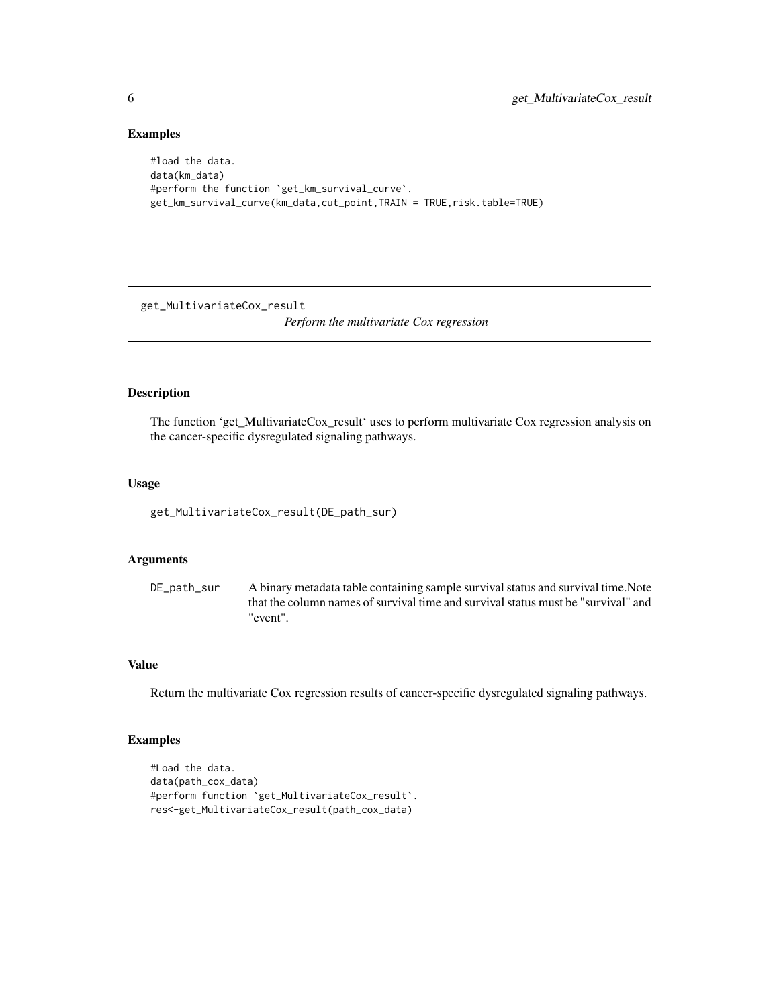#### Examples

```
#load the data.
data(km_data)
#perform the function `get_km_survival_curve`.
get_km_survival_curve(km_data,cut_point,TRAIN = TRUE,risk.table=TRUE)
```
get\_MultivariateCox\_result

*Perform the multivariate Cox regression*

### Description

The function 'get\_MultivariateCox\_result' uses to perform multivariate Cox regression analysis on the cancer-specific dysregulated signaling pathways.

#### Usage

get\_MultivariateCox\_result(DE\_path\_sur)

## Arguments

DE\_path\_sur A binary metadata table containing sample survival status and survival time.Note that the column names of survival time and survival status must be "survival" and "event".

## Value

Return the multivariate Cox regression results of cancer-specific dysregulated signaling pathways.

## Examples

```
#Load the data.
data(path_cox_data)
#perform function `get_MultivariateCox_result`.
res<-get_MultivariateCox_result(path_cox_data)
```
<span id="page-5-0"></span>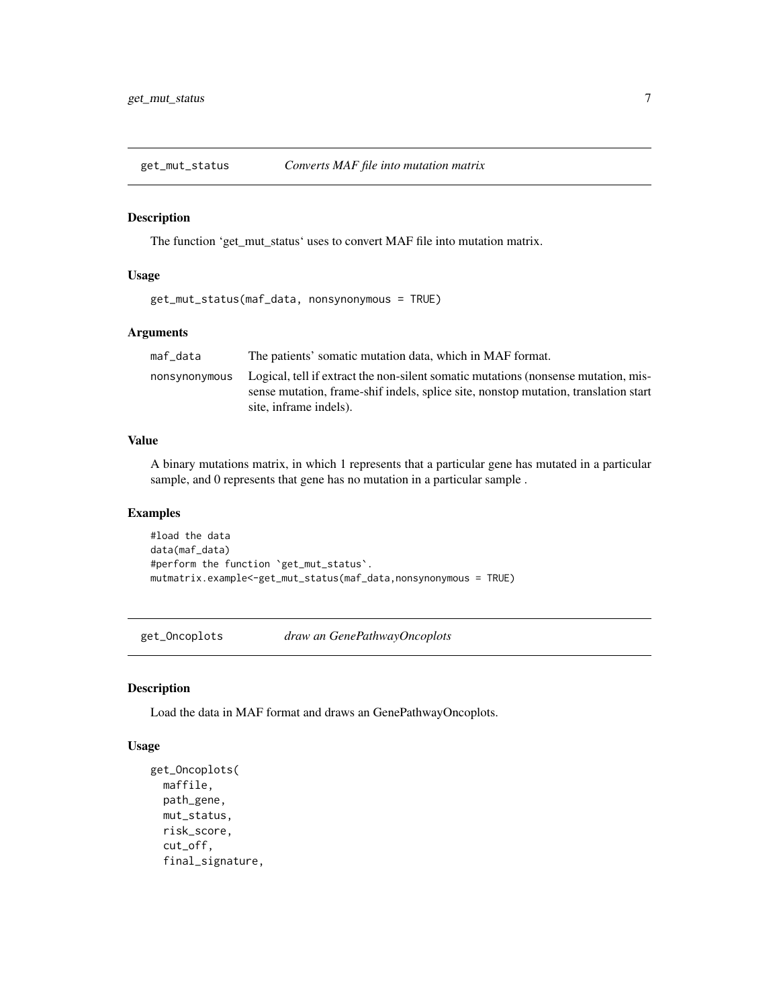<span id="page-6-0"></span>

The function 'get\_mut\_status' uses to convert MAF file into mutation matrix.

#### Usage

```
get_mut_status(maf_data, nonsynonymous = TRUE)
```
#### Arguments

| maf data      | The patients' somatic mutation data, which in MAF format.                                                                                                                 |
|---------------|---------------------------------------------------------------------------------------------------------------------------------------------------------------------------|
| nonsvnonvmous | Logical, tell if extract the non-silent somatic mutations (nonsense mutation, mis-<br>sense mutation, frame-shif indels, splice site, nonstop mutation, translation start |
|               | site, inframe indels).                                                                                                                                                    |

#### Value

A binary mutations matrix, in which 1 represents that a particular gene has mutated in a particular sample, and 0 represents that gene has no mutation in a particular sample .

#### Examples

```
#load the data
data(maf_data)
#perform the function `get_mut_status`.
mutmatrix.example<-get_mut_status(maf_data,nonsynonymous = TRUE)
```
get\_Oncoplots *draw an GenePathwayOncoplots*

#### Description

Load the data in MAF format and draws an GenePathwayOncoplots.

#### Usage

```
get_Oncoplots(
 maffile,
 path_gene,
 mut_status,
  risk_score,
  cut_off,
  final_signature,
```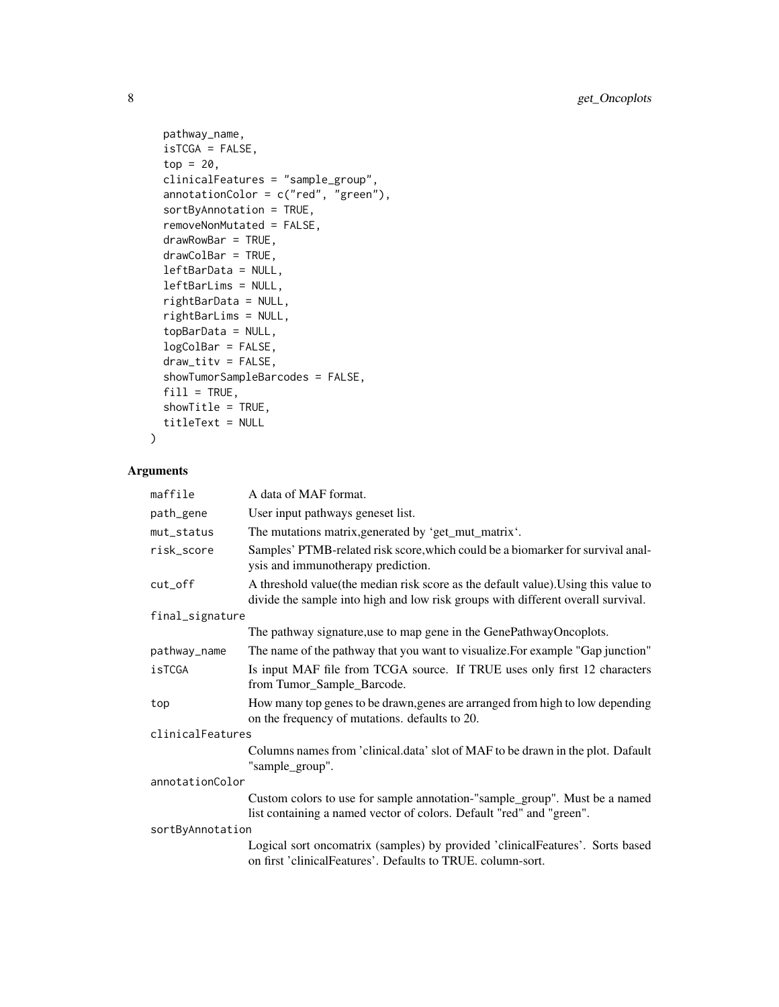```
pathway_name,
 isTCGA = FALSE,
 top = 20,
 clinicalFeatures = "sample_group",
 annotationColor = c("red", "green"),
 sortByAnnotation = TRUE,
 removeNonMutated = FALSE,
 drawRowBar = TRUE,
 drawColBar = TRUE,
 leftBarData = NULL,
 leftBarLims = NULL,
 rightBarData = NULL,
 rightBarLims = NULL,
 topBarData = NULL,
 logColBar = FALSE,
 draw\_titv = FALSE,showTumorSampleBarcodes = FALSE,
 fill = TRUE,showTitle = TRUE,
 titleText = NULL
)
```

```
Arguments
```

| maffile          | A data of MAF format.                                                                                                                                                   |  |
|------------------|-------------------------------------------------------------------------------------------------------------------------------------------------------------------------|--|
| path_gene        | User input pathways geneset list.                                                                                                                                       |  |
| mut_status       | The mutations matrix, generated by 'get_mut_matrix'.                                                                                                                    |  |
| risk_score       | Samples' PTMB-related risk score, which could be a biomarker for survival anal-<br>ysis and immunotherapy prediction.                                                   |  |
| cut_off          | A threshold value (the median risk score as the default value). Using this value to<br>divide the sample into high and low risk groups with different overall survival. |  |
| final_signature  |                                                                                                                                                                         |  |
|                  | The pathway signature, use to map gene in the GenePathwayOncoplots.                                                                                                     |  |
| pathway_name     | The name of the pathway that you want to visualize. For example "Gap junction"                                                                                          |  |
| isTCGA           | Is input MAF file from TCGA source. If TRUE uses only first 12 characters<br>from Tumor_Sample_Barcode.                                                                 |  |
| top              | How many top genes to be drawn, genes are arranged from high to low depending<br>on the frequency of mutations. defaults to 20.                                         |  |
| clinicalFeatures |                                                                                                                                                                         |  |
|                  | Columns names from 'clinical.data' slot of MAF to be drawn in the plot. Dafault<br>"sample_group".                                                                      |  |
| annotationColor  |                                                                                                                                                                         |  |
|                  | Custom colors to use for sample annotation-"sample_group". Must be a named<br>list containing a named vector of colors. Default "red" and "green".                      |  |
| sortByAnnotation |                                                                                                                                                                         |  |
|                  | Logical sort oncomatrix (samples) by provided 'clinicalFeatures'. Sorts based<br>on first 'clinicalFeatures'. Defaults to TRUE. column-sort.                            |  |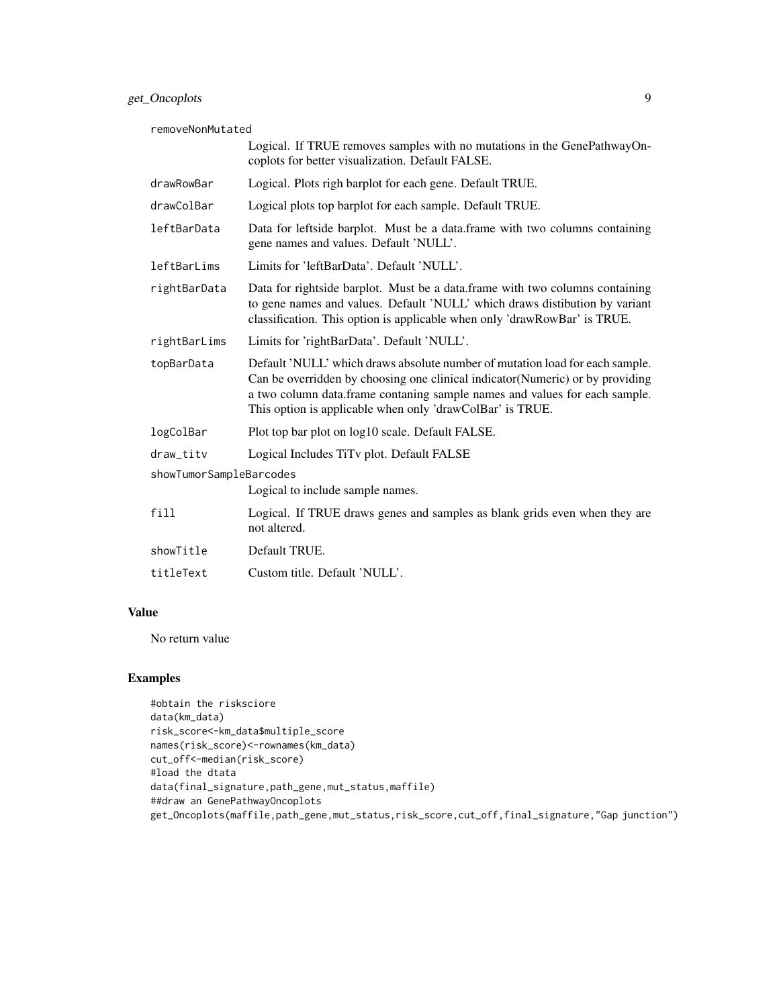removeNonMutated

|                         | Logical. If TRUE removes samples with no mutations in the GenePathwayOn-<br>coplots for better visualization. Default FALSE.                                                                                                                                                                              |  |
|-------------------------|-----------------------------------------------------------------------------------------------------------------------------------------------------------------------------------------------------------------------------------------------------------------------------------------------------------|--|
| drawRowBar              | Logical. Plots righ barplot for each gene. Default TRUE.                                                                                                                                                                                                                                                  |  |
| drawColBar              | Logical plots top barplot for each sample. Default TRUE.                                                                                                                                                                                                                                                  |  |
| leftBarData             | Data for leftside barplot. Must be a data.frame with two columns containing<br>gene names and values. Default 'NULL'.                                                                                                                                                                                     |  |
| leftBarLims             | Limits for 'leftBarData'. Default 'NULL'.                                                                                                                                                                                                                                                                 |  |
| rightBarData            | Data for rightside barplot. Must be a data.frame with two columns containing<br>to gene names and values. Default 'NULL' which draws distibution by variant<br>classification. This option is applicable when only 'drawRowBar' is TRUE.                                                                  |  |
| rightBarLims            | Limits for 'rightBarData'. Default 'NULL'.                                                                                                                                                                                                                                                                |  |
| topBarData              | Default 'NULL' which draws absolute number of mutation load for each sample.<br>Can be overridden by choosing one clinical indicator (Numeric) or by providing<br>a two column data.frame contaning sample names and values for each sample.<br>This option is applicable when only 'drawColBar' is TRUE. |  |
| logColBar               | Plot top bar plot on log10 scale. Default FALSE.                                                                                                                                                                                                                                                          |  |
| draw_titv               | Logical Includes TiTv plot. Default FALSE                                                                                                                                                                                                                                                                 |  |
| showTumorSampleBarcodes |                                                                                                                                                                                                                                                                                                           |  |
|                         | Logical to include sample names.                                                                                                                                                                                                                                                                          |  |
| fill                    | Logical. If TRUE draws genes and samples as blank grids even when they are<br>not altered.                                                                                                                                                                                                                |  |
| showTitle               | Default TRUE.                                                                                                                                                                                                                                                                                             |  |
| titleText               | Custom title. Default 'NULL'.                                                                                                                                                                                                                                                                             |  |

## Value

No return value

## Examples

```
#obtain the risksciore
data(km_data)
risk_score<-km_data$multiple_score
names(risk_score)<-rownames(km_data)
cut_off<-median(risk_score)
#load the dtata
data(final_signature,path_gene,mut_status,maffile)
##draw an GenePathwayOncoplots
get_Oncoplots(maffile,path_gene,mut_status,risk_score,cut_off,final_signature,"Gap junction")
```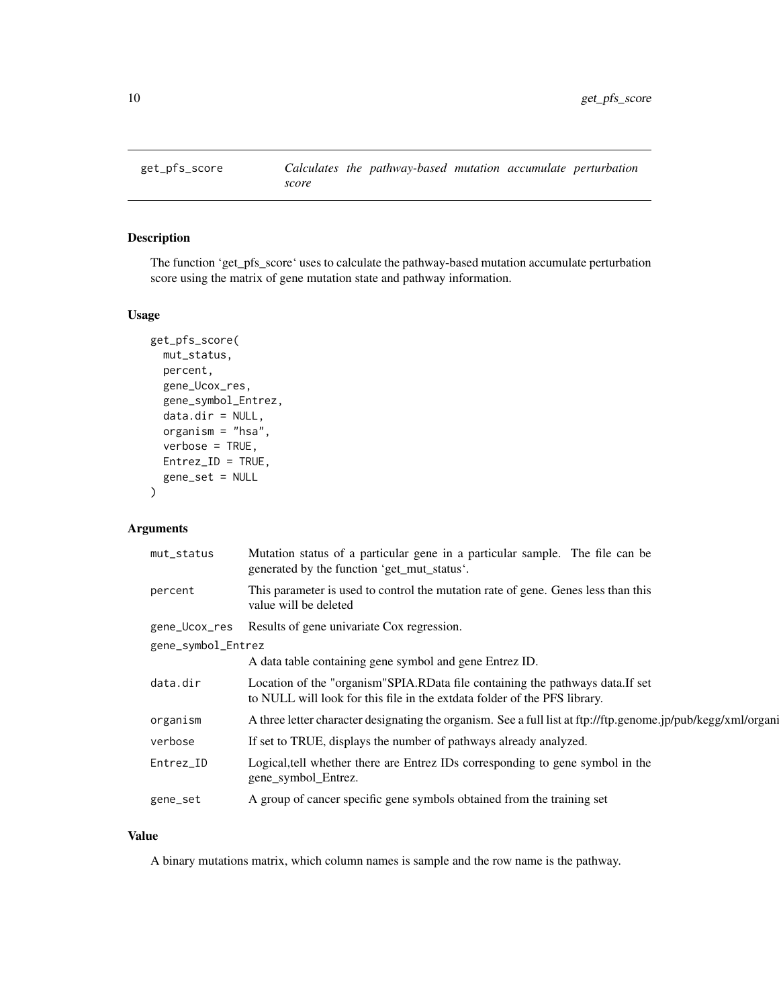<span id="page-9-0"></span>

The function 'get\_pfs\_score' uses to calculate the pathway-based mutation accumulate perturbation score using the matrix of gene mutation state and pathway information.

#### Usage

```
get_pfs_score(
 mut_status,
 percent,
  gene_Ucox_res,
 gene_symbol_Entrez,
  data.dir = NULL,
 organism = "hsa",
  verbose = TRUE,
 Entrez_ID = TRUE,gene_set = NULL
)
```
## Arguments

| mut_status         | Mutation status of a particular gene in a particular sample. The file can be<br>generated by the function 'get_mut_status'.                                 |  |
|--------------------|-------------------------------------------------------------------------------------------------------------------------------------------------------------|--|
| percent            | This parameter is used to control the mutation rate of gene. Genes less than this<br>value will be deleted                                                  |  |
| gene_Ucox_res      | Results of gene univariate Cox regression.                                                                                                                  |  |
| gene_symbol_Entrez |                                                                                                                                                             |  |
|                    | A data table containing gene symbol and gene Entrez ID.                                                                                                     |  |
| data.dir           | Location of the "organism" SPIA.RData file containing the pathways data.If set<br>to NULL will look for this file in the extdata folder of the PFS library. |  |
| organism           | A three letter character designating the organism. See a full list at ftp://ftp.genome.jp/pub/kegg/xml/organi                                               |  |
| verbose            | If set to TRUE, displays the number of pathways already analyzed.                                                                                           |  |
| Entrez_ID          | Logical, tell whether there are Entrez IDs corresponding to gene symbol in the<br>gene_symbol_Entrez.                                                       |  |
| gene_set           | A group of cancer specific gene symbols obtained from the training set                                                                                      |  |
|                    |                                                                                                                                                             |  |

#### Value

A binary mutations matrix, which column names is sample and the row name is the pathway.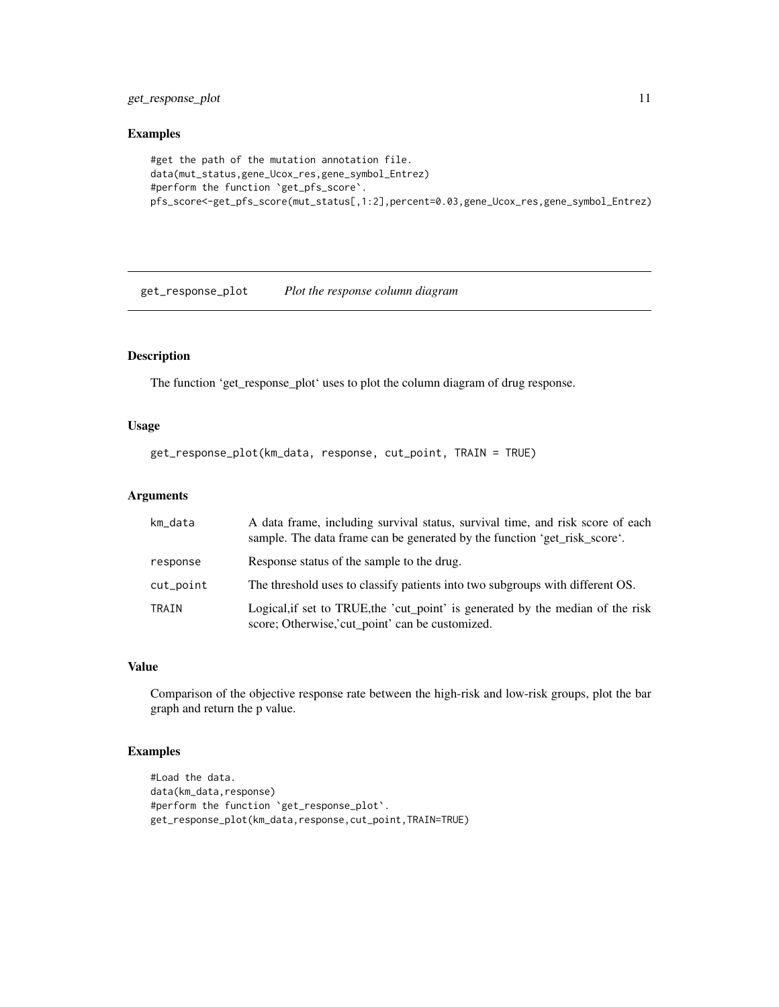<span id="page-10-0"></span>get\_response\_plot 11

#### Examples

```
#get the path of the mutation annotation file.
data(mut_status,gene_Ucox_res,gene_symbol_Entrez)
#perform the function `get_pfs_score`.
pfs_score<-get_pfs_score(mut_status[,1:2],percent=0.03,gene_Ucox_res,gene_symbol_Entrez)
```
get\_response\_plot *Plot the response column diagram*

## Description

The function 'get\_response\_plot' uses to plot the column diagram of drug response.

## Usage

```
get_response_plot(km_data, response, cut_point, TRAIN = TRUE)
```
## Arguments

| km_data      | A data frame, including survival status, survival time, and risk score of each<br>sample. The data frame can be generated by the function 'get risk score'. |
|--------------|-------------------------------------------------------------------------------------------------------------------------------------------------------------|
| response     | Response status of the sample to the drug.                                                                                                                  |
| cut_point    | The threshold uses to classify patients into two subgroups with different OS.                                                                               |
| <b>TRAIN</b> | Logical, if set to TRUE, the 'cut_point' is generated by the median of the risk<br>score; Otherwise, 'cut_point' can be customized.                         |

## Value

Comparison of the objective response rate between the high-risk and low-risk groups, plot the bar graph and return the p value.

## Examples

```
#Load the data.
data(km_data,response)
#perform the function `get_response_plot`.
get_response_plot(km_data,response,cut_point,TRAIN=TRUE)
```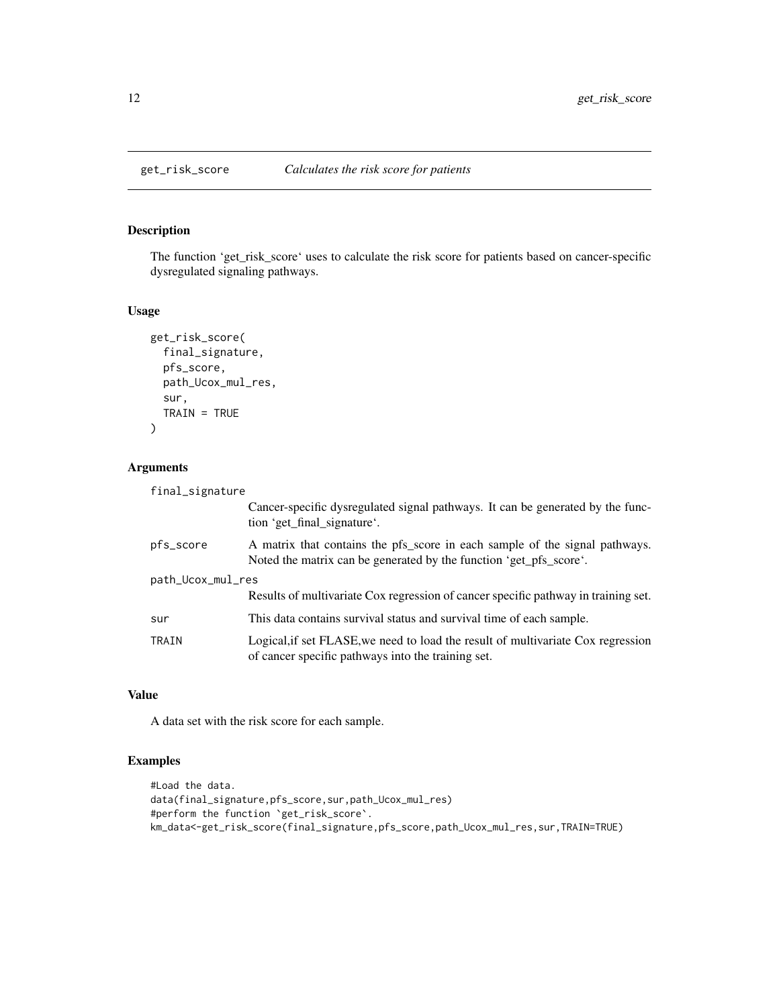<span id="page-11-0"></span>The function 'get\_risk\_score' uses to calculate the risk score for patients based on cancer-specific dysregulated signaling pathways.

#### Usage

```
get_risk_score(
  final_signature,
  pfs_score,
  path_Ucox_mul_res,
  sur,
  TRAIN = TRUE\mathcal{L}
```
## Arguments

| final_signature   |                                                                                                                                                   |
|-------------------|---------------------------------------------------------------------------------------------------------------------------------------------------|
|                   | Cancer-specific dysregulated signal pathways. It can be generated by the func-<br>tion 'get_final_signature'.                                     |
| pfs_score         | A matrix that contains the pfs_score in each sample of the signal pathways.<br>Noted the matrix can be generated by the function 'get_pfs_score'. |
| path_Ucox_mul_res |                                                                                                                                                   |
|                   | Results of multivariate Cox regression of cancer specific pathway in training set.                                                                |
| sur               | This data contains survival status and survival time of each sample.                                                                              |
| TRAIN             | Logical, if set FLASE, we need to load the result of multivariate Cox regression<br>of cancer specific pathways into the training set.            |

## Value

A data set with the risk score for each sample.

## Examples

```
#Load the data.
data(final_signature,pfs_score,sur,path_Ucox_mul_res)
#perform the function `get_risk_score`.
km_data<-get_risk_score(final_signature,pfs_score,path_Ucox_mul_res,sur,TRAIN=TRUE)
```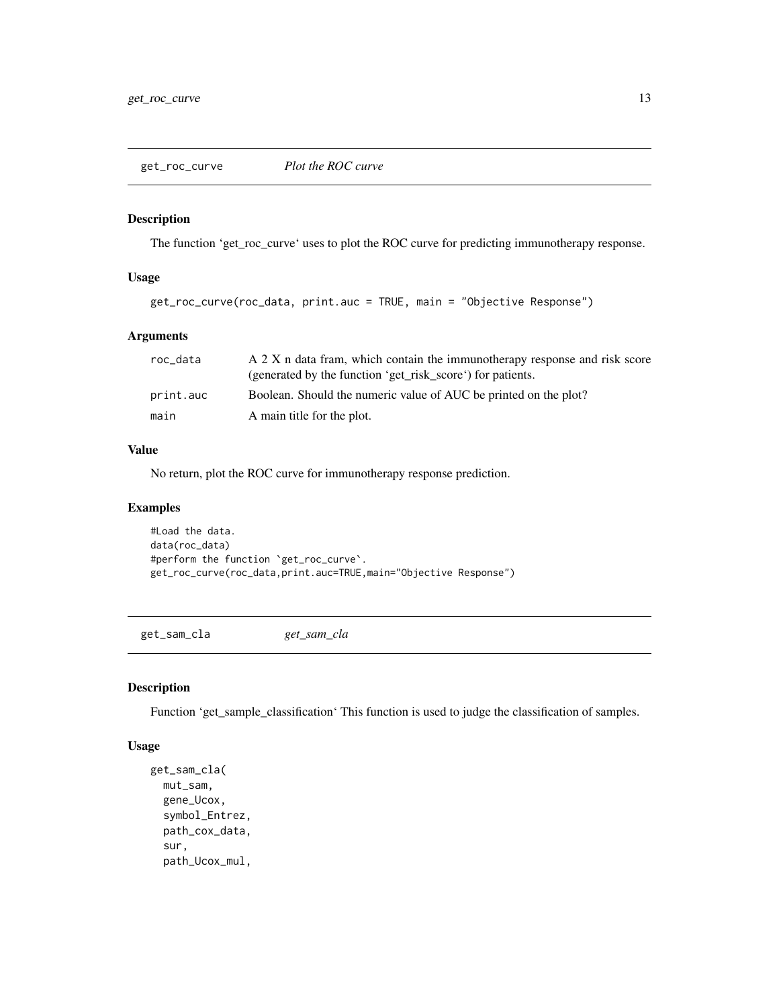<span id="page-12-0"></span>

The function 'get\_roc\_curve' uses to plot the ROC curve for predicting immunotherapy response.

#### Usage

get\_roc\_curve(roc\_data, print.auc = TRUE, main = "Objective Response")

## Arguments

| roc_data  | A 2 X n data fram, which contain the immunotherapy response and risk score<br>(generated by the function 'get_risk_score') for patients. |
|-----------|------------------------------------------------------------------------------------------------------------------------------------------|
| print.auc | Boolean. Should the numeric value of AUC be printed on the plot?                                                                         |
| main      | A main title for the plot.                                                                                                               |

#### Value

No return, plot the ROC curve for immunotherapy response prediction.

## Examples

```
#Load the data.
data(roc_data)
#perform the function `get_roc_curve`.
get_roc_curve(roc_data,print.auc=TRUE,main="Objective Response")
```
get\_sam\_cla *get\_sam\_cla*

#### Description

Function 'get\_sample\_classification' This function is used to judge the classification of samples.

#### Usage

```
get_sam_cla(
 mut_sam,
 gene_Ucox,
  symbol_Entrez,
  path_cox_data,
  sur,
  path_Ucox_mul,
```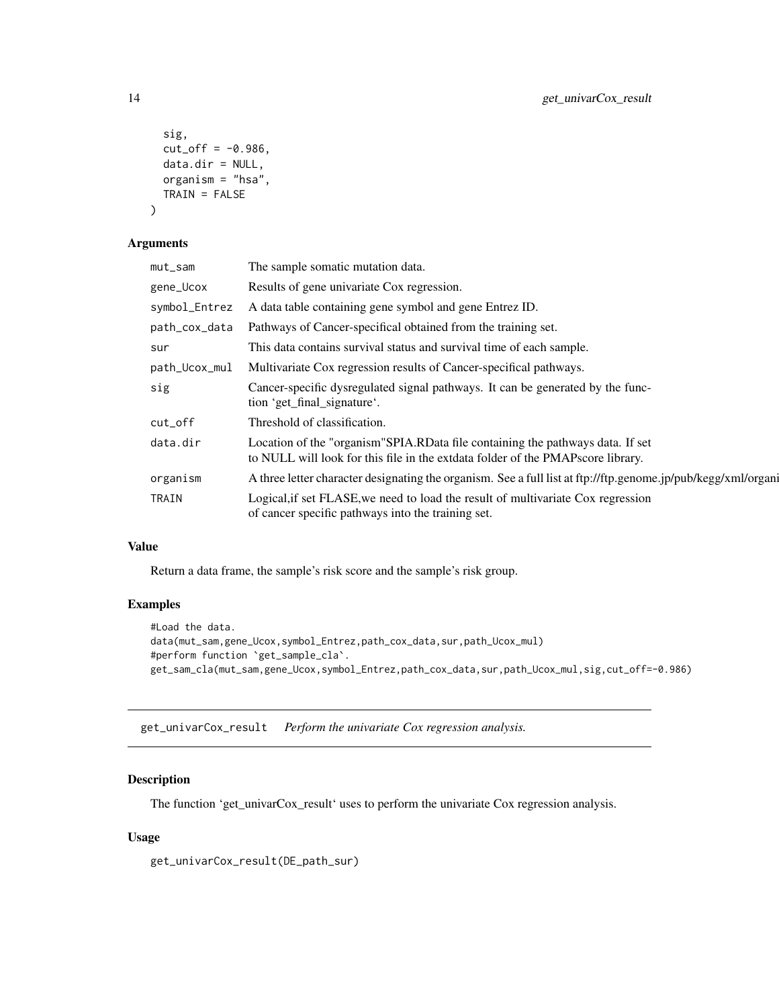```
sig,
  cut_off = -0.986,data.dir = NULL,
 organism = "hsa",
  TRAIN = FALSE
\mathcal{L}
```
#### Arguments

| The sample somatic mutation data.                                                                                                                                    |
|----------------------------------------------------------------------------------------------------------------------------------------------------------------------|
| Results of gene univariate Cox regression.                                                                                                                           |
| A data table containing gene symbol and gene Entrez ID.                                                                                                              |
| Pathways of Cancer-specifical obtained from the training set.                                                                                                        |
| This data contains survival status and survival time of each sample.                                                                                                 |
| Multivariate Cox regression results of Cancer-specifical pathways.                                                                                                   |
| Cancer-specific dysregulated signal pathways. It can be generated by the func-<br>tion 'get_final_signature'.                                                        |
| Threshold of classification.                                                                                                                                         |
| Location of the "organism" SPIA.RD at a file containing the pathways data. If set<br>to NULL will look for this file in the extdata folder of the PMAPscore library. |
| A three letter character designating the organism. See a full list at ftp://ftp.genome.jp/pub/kegg/xml/organi                                                        |
| Logical if set FLASE, we need to load the result of multivariate Cox regression<br>of cancer specific pathways into the training set.                                |
|                                                                                                                                                                      |

## Value

Return a data frame, the sample's risk score and the sample's risk group.

## Examples

```
#Load the data.
data(mut_sam,gene_Ucox,symbol_Entrez,path_cox_data,sur,path_Ucox_mul)
#perform function `get_sample_cla`.
get_sam_cla(mut_sam,gene_Ucox,symbol_Entrez,path_cox_data,sur,path_Ucox_mul,sig,cut_off=-0.986)
```
get\_univarCox\_result *Perform the univariate Cox regression analysis.*

## Description

The function 'get\_univarCox\_result' uses to perform the univariate Cox regression analysis.

## Usage

get\_univarCox\_result(DE\_path\_sur)

<span id="page-13-0"></span>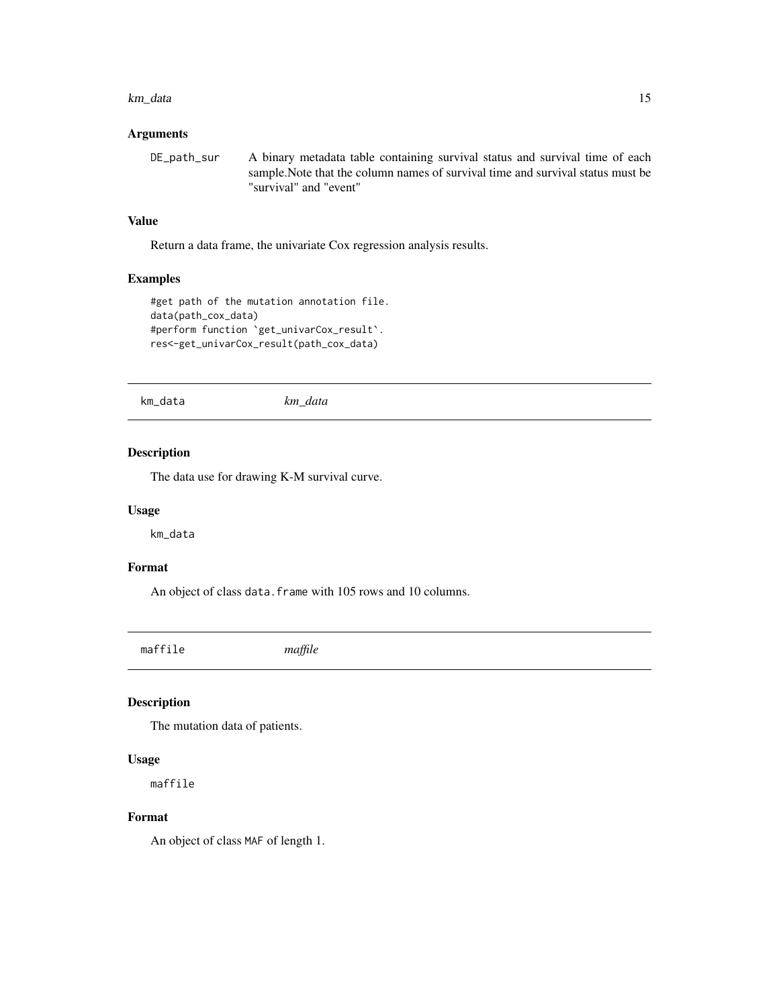#### <span id="page-14-0"></span>km\_data 15

### Arguments

DE\_path\_sur A binary metadata table containing survival status and survival time of each sample.Note that the column names of survival time and survival status must be "survival" and "event"

#### Value

Return a data frame, the univariate Cox regression analysis results.

## Examples

```
#get path of the mutation annotation file.
data(path_cox_data)
#perform function `get_univarCox_result`.
res<-get_univarCox_result(path_cox_data)
```
km\_data *km\_data*

#### Description

The data use for drawing K-M survival curve.

#### Usage

km\_data

## Format

An object of class data. frame with 105 rows and 10 columns.

maffile *maffile*

## Description

The mutation data of patients.

#### Usage

maffile

## Format

An object of class MAF of length 1.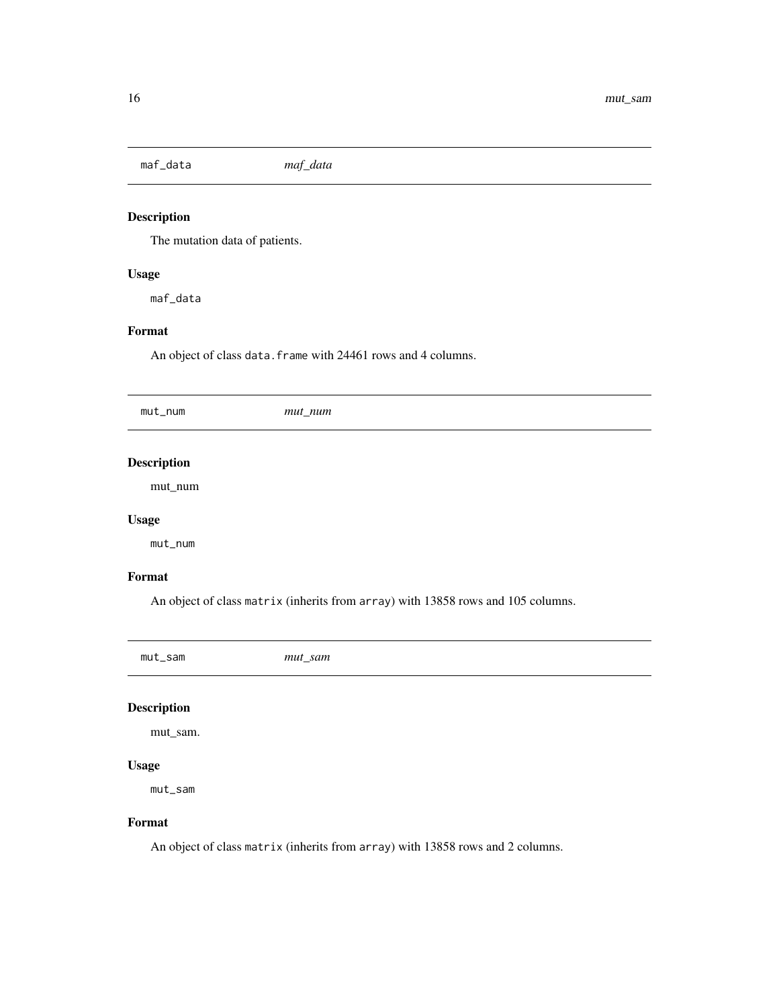<span id="page-15-0"></span>maf\_data *maf\_data*

# Description

The mutation data of patients.

### Usage

maf\_data

# Format

An object of class data. frame with 24461 rows and 4 columns.

| mut_num | $mut\_num$ |
|---------|------------|
|         |            |

# Description

mut\_num

### Usage

mut\_num

#### Format

An object of class matrix (inherits from array) with 13858 rows and 105 columns.

mut\_sam *mut\_sam*

## Description

mut\_sam.

#### Usage

mut\_sam

#### Format

An object of class matrix (inherits from array) with 13858 rows and 2 columns.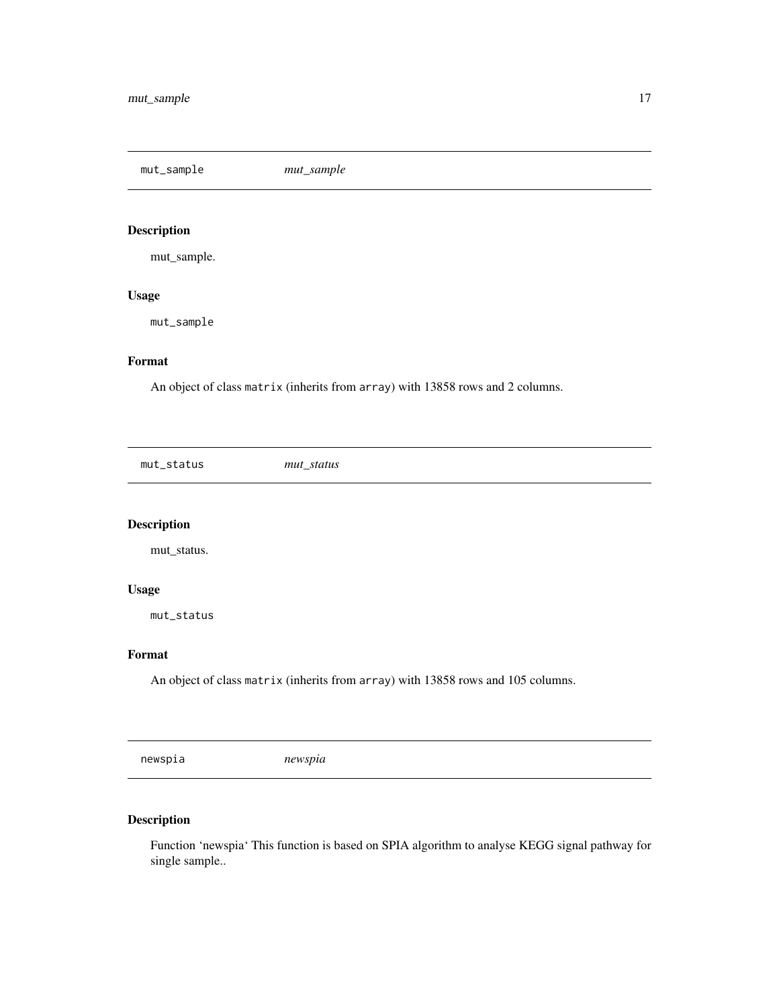<span id="page-16-0"></span>mut\_sample *mut\_sample*

# Description

mut\_sample.

## Usage

mut\_sample

### Format

An object of class matrix (inherits from array) with 13858 rows and 2 columns.

mut\_status *mut\_status*

# Description

mut\_status.

#### Usage

mut\_status

#### Format

An object of class matrix (inherits from array) with 13858 rows and 105 columns.

newspia *newspia*

## Description

Function 'newspia' This function is based on SPIA algorithm to analyse KEGG signal pathway for single sample..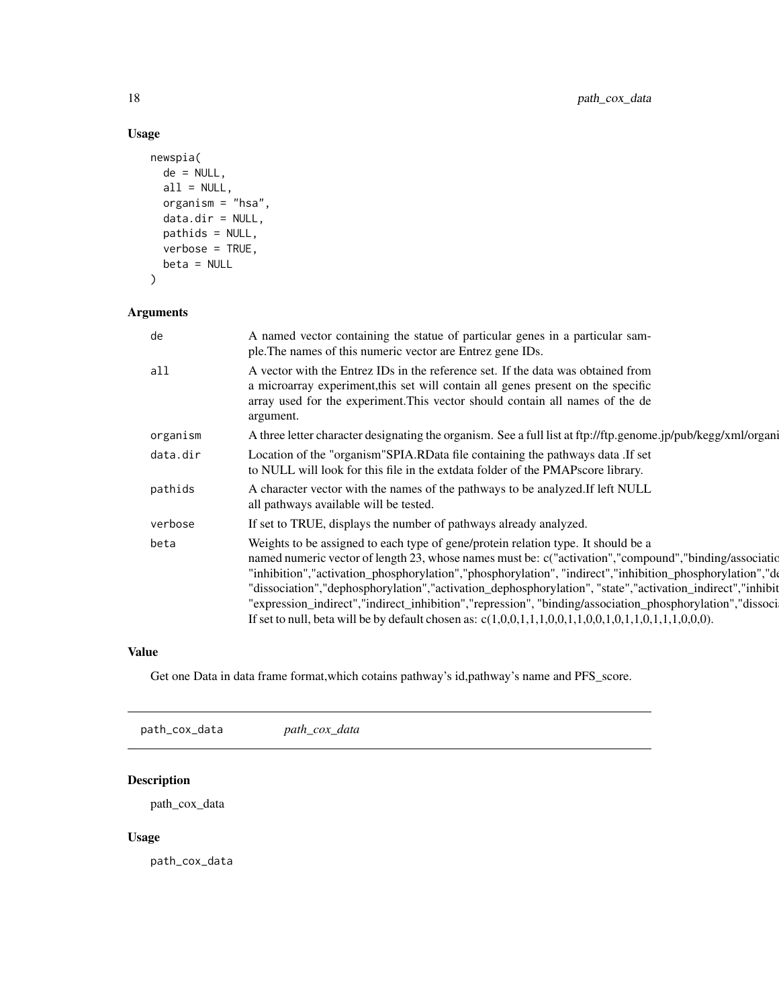# Usage

```
newspia(
 de = NULL,
 all = NULL,organism = "hsa",
 data.dir = NULL,
 pathids = NULL,
 verbose = TRUE,
 beta = NULL
)
```
## Arguments

| de       | A named vector containing the statue of particular genes in a particular sam-<br>ple. The names of this numeric vector are Entrez gene IDs.                                                                                                                                                                                                                                                                                                                                                                                                                                                                                             |
|----------|-----------------------------------------------------------------------------------------------------------------------------------------------------------------------------------------------------------------------------------------------------------------------------------------------------------------------------------------------------------------------------------------------------------------------------------------------------------------------------------------------------------------------------------------------------------------------------------------------------------------------------------------|
| all      | A vector with the Entrez IDs in the reference set. If the data was obtained from<br>a microarray experiment, this set will contain all genes present on the specific<br>array used for the experiment. This vector should contain all names of the de<br>argument.                                                                                                                                                                                                                                                                                                                                                                      |
| organism | A three letter character designating the organism. See a full list at ftp://ftp.genome.jp/pub/kegg/xml/organi                                                                                                                                                                                                                                                                                                                                                                                                                                                                                                                           |
| data.dir | Location of the "organism" SPIA.RData file containing the pathways data .If set<br>to NULL will look for this file in the extdata folder of the PMAPscore library.                                                                                                                                                                                                                                                                                                                                                                                                                                                                      |
| pathids  | A character vector with the names of the pathways to be analyzed. If left NULL<br>all pathways available will be tested.                                                                                                                                                                                                                                                                                                                                                                                                                                                                                                                |
| verbose  | If set to TRUE, displays the number of pathways already analyzed.                                                                                                                                                                                                                                                                                                                                                                                                                                                                                                                                                                       |
| beta     | Weights to be assigned to each type of gene/protein relation type. It should be a<br>named numeric vector of length 23, whose names must be: c("activation","compound","binding/association<br>"inhibition","activation_phosphorylation","phosphorylation", "indirect","inhibition_phosphorylation","de<br>"dissociation","dephosphorylation","activation_dephosphorylation", "state","activation_indirect","inhibit<br>"expression_indirect","indirect_inhibition","repression", "binding/association_phosphorylation","dissoci<br>If set to null, beta will be by default chosen as: $c(1,0,0,1,1,1,0,0,1,1,0,0,1,1,0,1,1,1,0,0,0)$ . |

## Value

Get one Data in data frame format,which cotains pathway's id,pathway's name and PFS\_score.

path\_cox\_data *path\_cox\_data*

## Description

path\_cox\_data

## Usage

path\_cox\_data

<span id="page-17-0"></span>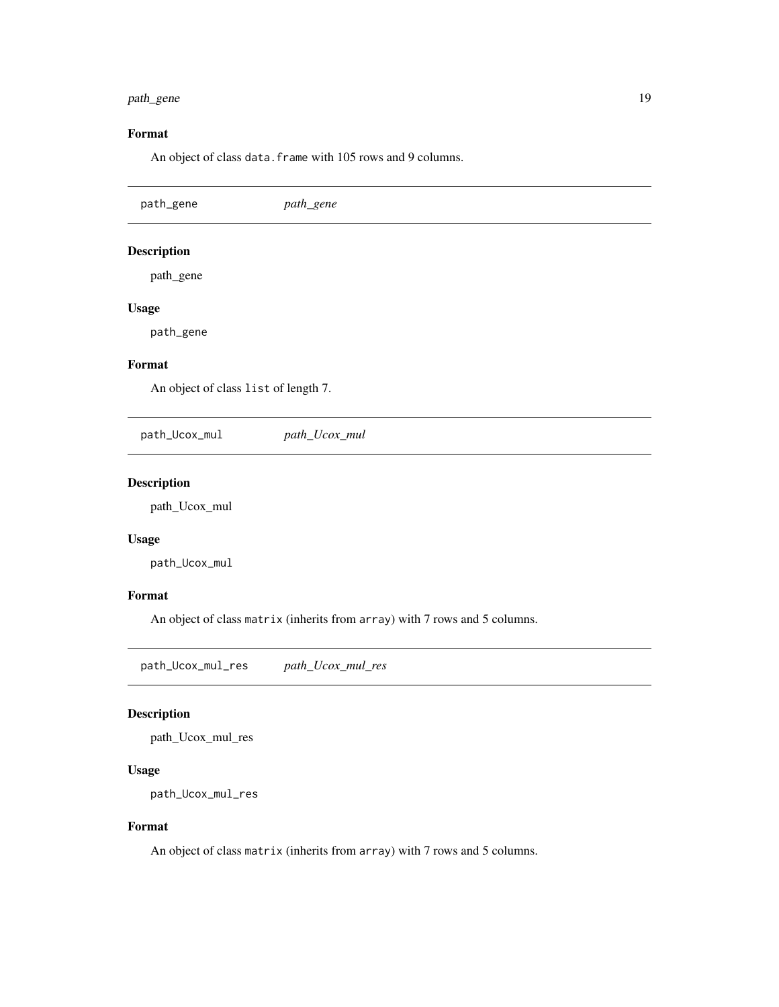# <span id="page-18-0"></span>path\_gene 19

# Format

An object of class data. frame with 105 rows and 9 columns.

| path_gene                            | path_gene     |  |  |
|--------------------------------------|---------------|--|--|
| <b>Description</b>                   |               |  |  |
| path_gene                            |               |  |  |
| <b>Usage</b>                         |               |  |  |
| path_gene                            |               |  |  |
| Format                               |               |  |  |
| An object of class list of length 7. |               |  |  |
| path_Ucox_mul                        | path_Ucox_mul |  |  |
| Decembrian                           |               |  |  |

# Description

path\_Ucox\_mul

## Usage

path\_Ucox\_mul

## Format

An object of class matrix (inherits from array) with 7 rows and 5 columns.

path\_Ucox\_mul\_res *path\_Ucox\_mul\_res*

# Description

path\_Ucox\_mul\_res

### Usage

```
path_Ucox_mul_res
```
## Format

An object of class matrix (inherits from array) with 7 rows and 5 columns.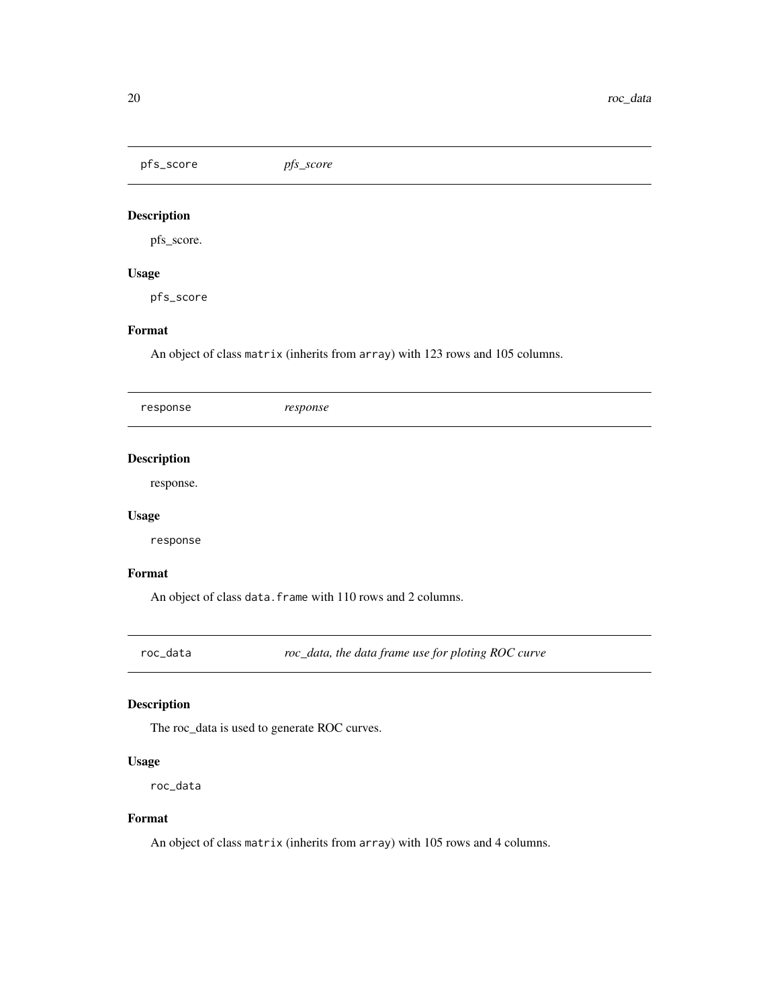<span id="page-19-0"></span>pfs\_score *pfs\_score*

## Description

pfs\_score.

## Usage

pfs\_score

# Format

An object of class matrix (inherits from array) with 123 rows and 105 columns.

| response           | response |
|--------------------|----------|
|                    |          |
| <b>Description</b> |          |
| response.          |          |
| <b>Usage</b>       |          |
| response           |          |
| Format             |          |

An object of class data. frame with 110 rows and 2 columns.

roc\_data *roc\_data, the data frame use for ploting ROC curve*

## Description

The roc\_data is used to generate ROC curves.

## Usage

roc\_data

#### Format

An object of class matrix (inherits from array) with 105 rows and 4 columns.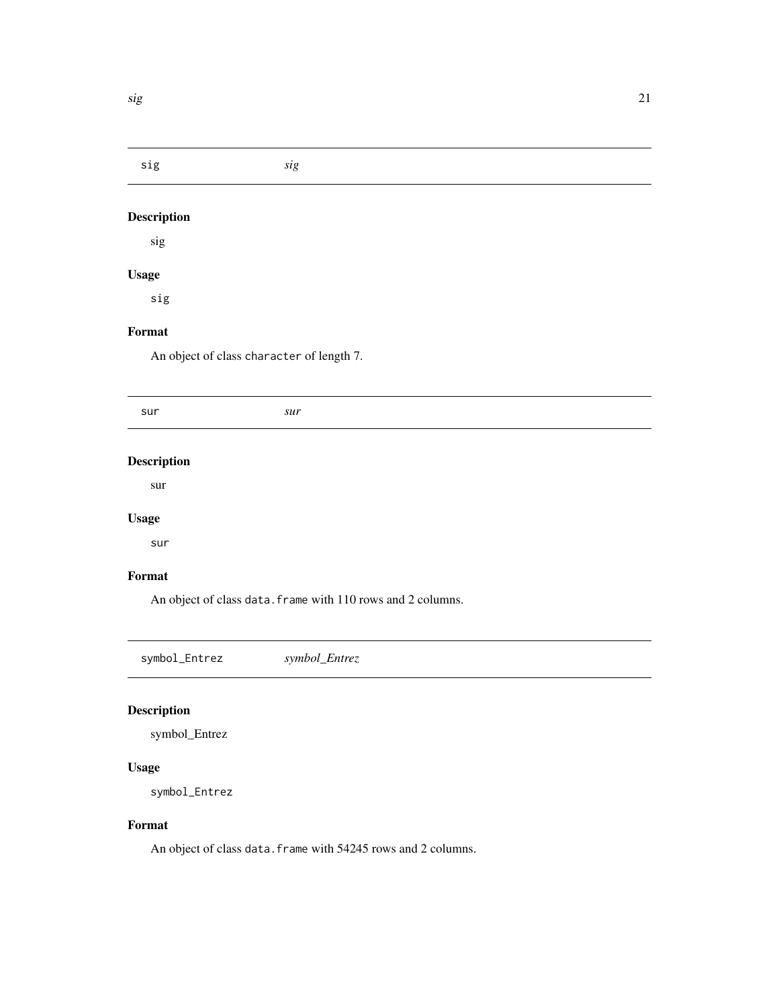<span id="page-20-0"></span>sig *sig*

# Description

sig

# Usage

sig

# Format

An object of class character of length 7.

| sur                | sur |  |  |
|--------------------|-----|--|--|
|                    |     |  |  |
| <b>Description</b> |     |  |  |
| sur                |     |  |  |
| <b>Usage</b>       |     |  |  |
| sur                |     |  |  |
| Format             |     |  |  |

An object of class data. frame with 110 rows and 2 columns.

symbol\_Entrez *symbol\_Entrez*

# Description

symbol\_Entrez

## Usage

symbol\_Entrez

#### Format

An object of class data. frame with 54245 rows and 2 columns.